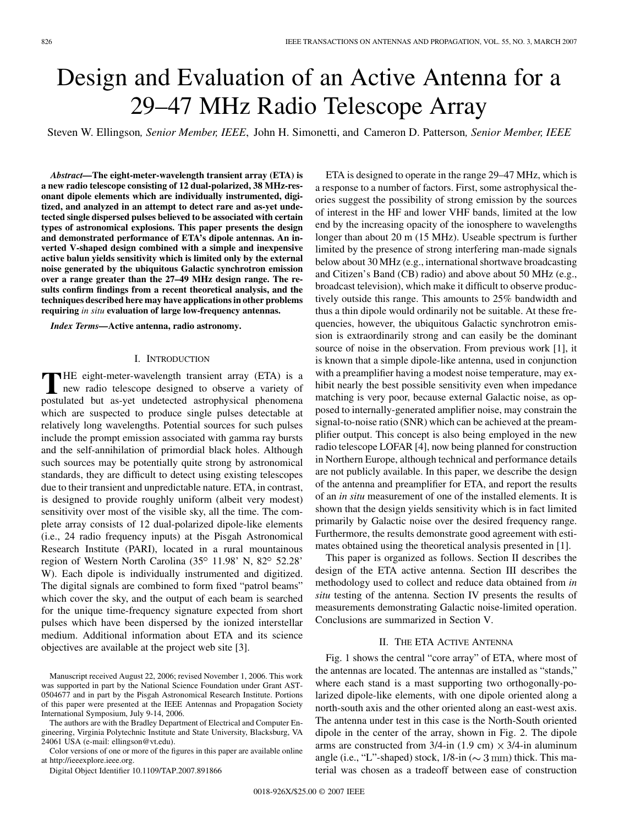# Design and Evaluation of an Active Antenna for a 29–47 MHz Radio Telescope Array

Steven W. Ellingson*, Senior Member, IEEE*, John H. Simonetti, and Cameron D. Patterson*, Senior Member, IEEE*

*Abstract—***The eight-meter-wavelength transient array (ETA) is a new radio telescope consisting of 12 dual-polarized, 38 MHz-resonant dipole elements which are individually instrumented, digitized, and analyzed in an attempt to detect rare and as-yet undetected single dispersed pulses believed to be associated with certain types of astronomical explosions. This paper presents the design and demonstrated performance of ETA's dipole antennas. An inverted V-shaped design combined with a simple and inexpensive active balun yields sensitivity which is limited only by the external noise generated by the ubiquitous Galactic synchrotron emission over a range greater than the 27–49 MHz design range. The results confirm findings from a recent theoretical analysis, and the techniques described here may have applications in other problems requiring** *in situ* **evaluation of large low-frequency antennas.**

*Index Terms—***Active antenna, radio astronomy.**

#### I. INTRODUCTION

**THE eight-meter-wavelength transient array (ETA) is a** new radio telescope designed to observe a variety of negativeled by the server undertakeled estrophysical phanomena postulated but as-yet undetected astrophysical phenomena which are suspected to produce single pulses detectable at relatively long wavelengths. Potential sources for such pulses include the prompt emission associated with gamma ray bursts and the self-annihilation of primordial black holes. Although such sources may be potentially quite strong by astronomical standards, they are difficult to detect using existing telescopes due to their transient and unpredictable nature. ETA, in contrast, is designed to provide roughly uniform (albeit very modest) sensitivity over most of the visible sky, all the time. The complete array consists of 12 dual-polarized dipole-like elements (i.e., 24 radio frequency inputs) at the Pisgah Astronomical Research Institute (PARI), located in a rural mountainous region of Western North Carolina (35° 11.98' N, 82° 52.28' W). Each dipole is individually instrumented and digitized. The digital signals are combined to form fixed "patrol beams" which cover the sky, and the output of each beam is searched for the unique time-frequency signature expected from short pulses which have been dispersed by the ionized interstellar medium. Additional information about ETA and its science objectives are available at the project web site [\[3\]](#page-5-0).

The authors are with the Bradley Department of Electrical and Computer Engineering, Virginia Polytechnic Institute and State University, Blacksburg, VA 24061 USA (e-mail: ellingson@vt.edu).

Color versions of one or more of the figures in this paper are available online at http://ieeexplore.ieee.org.

Digital Object Identifier 10.1109/TAP.2007.891866

ETA is designed to operate in the range 29–47 MHz, which is a response to a number of factors. First, some astrophysical theories suggest the possibility of strong emission by the sources of interest in the HF and lower VHF bands, limited at the low end by the increasing opacity of the ionosphere to wavelengths longer than about 20 m (15 MHz). Useable spectrum is further limited by the presence of strong interfering man-made signals below about 30 MHz (e.g., international shortwave broadcasting and Citizen's Band (CB) radio) and above about 50 MHz (e.g., broadcast television), which make it difficult to observe productively outside this range. This amounts to 25% bandwidth and thus a thin dipole would ordinarily not be suitable. At these frequencies, however, the ubiquitous Galactic synchrotron emission is extraordinarily strong and can easily be the dominant source of noise in the observation. From previous work [\[1\]](#page-5-0), it is known that a simple dipole-like antenna, used in conjunction with a preamplifier having a modest noise temperature, may exhibit nearly the best possible sensitivity even when impedance matching is very poor, because external Galactic noise, as opposed to internally-generated amplifier noise, may constrain the signal-to-noise ratio (SNR) which can be achieved at the preamplifier output. This concept is also being employed in the new radio telescope LOFAR [\[4\],](#page-5-0) now being planned for construction in Northern Europe, although technical and performance details are not publicly available. In this paper, we describe the design of the antenna and preamplifier for ETA, and report the results of an *in situ* measurement of one of the installed elements. It is shown that the design yields sensitivity which is in fact limited primarily by Galactic noise over the desired frequency range. Furthermore, the results demonstrate good agreement with estimates obtained using the theoretical analysis presented in [\[1\].](#page-5-0)

This paper is organized as follows. Section II describes the design of the ETA active antenna. [Section III](#page-2-0) describes the methodology used to collect and reduce data obtained from *in situ* testing of the antenna. [Section IV](#page-3-0) presents the results of measurements demonstrating Galactic noise-limited operation. Conclusions are summarized in [Section V](#page-5-0).

# II. THE ETA ACTIVE ANTENNA

[Fig. 1](#page-1-0) shows the central "core array" of ETA, where most of the antennas are located. The antennas are installed as "stands," where each stand is a mast supporting two orthogonally-polarized dipole-like elements, with one dipole oriented along a north-south axis and the other oriented along an east-west axis. The antenna under test in this case is the North-South oriented dipole in the center of the array, shown in [Fig. 2.](#page-1-0) The dipole arms are constructed from  $3/4$ -in  $(1.9 \text{ cm}) \times 3/4$ -in aluminum angle (i.e., "L"-shaped) stock,  $1/8$ -in ( $\sim$  3 mm) thick. This material was chosen as a tradeoff between ease of construction

Manuscript received August 22, 2006; revised November 1, 2006. This work was supported in part by the National Science Foundation under Grant AST-0504677 and in part by the Pisgah Astronomical Research Institute. Portions of this paper were presented at the IEEE Antennas and Propagation Society International Symposium, July 9-14, 2006.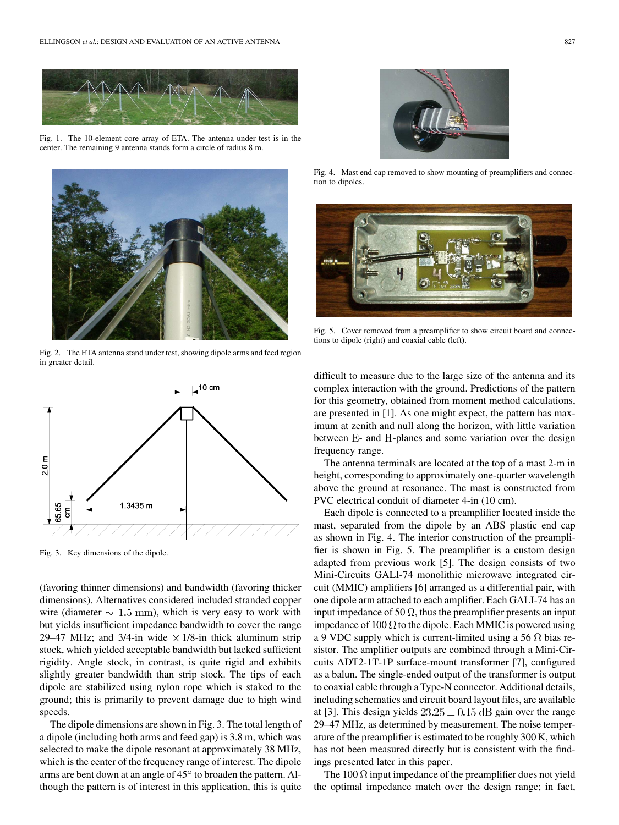<span id="page-1-0"></span>

Fig. 1. The 10-element core array of ETA. The antenna under test is in the center. The remaining 9 antenna stands form a circle of radius 8 m.



Fig. 2. The ETA antenna stand under test, showing dipole arms and feed region in greater detail.



Fig. 3. Key dimensions of the dipole.

(favoring thinner dimensions) and bandwidth (favoring thicker dimensions). Alternatives considered included stranded copper wire (diameter  $\sim 1.5$  mm), which is very easy to work with but yields insufficient impedance bandwidth to cover the range 29–47 MHz; and 3/4-in wide  $\times$  1/8-in thick aluminum strip stock, which yielded acceptable bandwidth but lacked sufficient rigidity. Angle stock, in contrast, is quite rigid and exhibits slightly greater bandwidth than strip stock. The tips of each dipole are stabilized using nylon rope which is staked to the ground; this is primarily to prevent damage due to high wind speeds.

The dipole dimensions are shown in Fig. 3. The total length of a dipole (including both arms and feed gap) is 3.8 m, which was selected to make the dipole resonant at approximately 38 MHz, which is the center of the frequency range of interest. The dipole arms are bent down at an angle of 45<sup>o</sup> to broaden the pattern. Although the pattern is of interest in this application, this is quite



Fig. 4. Mast end cap removed to show mounting of preamplifiers and connection to dipoles.



Fig. 5. Cover removed from a preamplifier to show circuit board and connections to dipole (right) and coaxial cable (left).

difficult to measure due to the large size of the antenna and its complex interaction with the ground. Predictions of the pattern for this geometry, obtained from moment method calculations, are presented in [\[1\].](#page-5-0) As one might expect, the pattern has maximum at zenith and null along the horizon, with little variation between E- and H-planes and some variation over the design frequency range.

The antenna terminals are located at the top of a mast 2-m in height, corresponding to approximately one-quarter wavelength above the ground at resonance. The mast is constructed from PVC electrical conduit of diameter 4-in (10 cm).

Each dipole is connected to a preamplifier located inside the mast, separated from the dipole by an ABS plastic end cap as shown in Fig. 4. The interior construction of the preamplifier is shown in Fig. 5. The preamplifier is a custom design adapted from previous work [\[5\].](#page-5-0) The design consists of two Mini-Circuits GALI-74 monolithic microwave integrated circuit (MMIC) amplifiers [\[6\]](#page-5-0) arranged as a differential pair, with one dipole arm attached to each amplifier. Each GALI-74 has an input impedance of 50  $\Omega$ , thus the preamplifier presents an input impedance of 100  $\Omega$  to the dipole. Each MMIC is powered using a 9 VDC supply which is current-limited using a 56  $\Omega$  bias resistor. The amplifier outputs are combined through a Mini-Circuits ADT2-1T-1P surface-mount transformer [\[7\]](#page-5-0), configured as a balun. The single-ended output of the transformer is output to coaxial cable through a Type-N connector. Additional details, including schematics and circuit board layout files, are available at [\[3\].](#page-5-0) This design yields  $23.25 \pm 0.15$  dB gain over the range 29–47 MHz, as determined by measurement. The noise temperature of the preamplifier is estimated to be roughly 300 K, which has not been measured directly but is consistent with the findings presented later in this paper.

The 100  $\Omega$  input impedance of the preamplifier does not yield the optimal impedance match over the design range; in fact,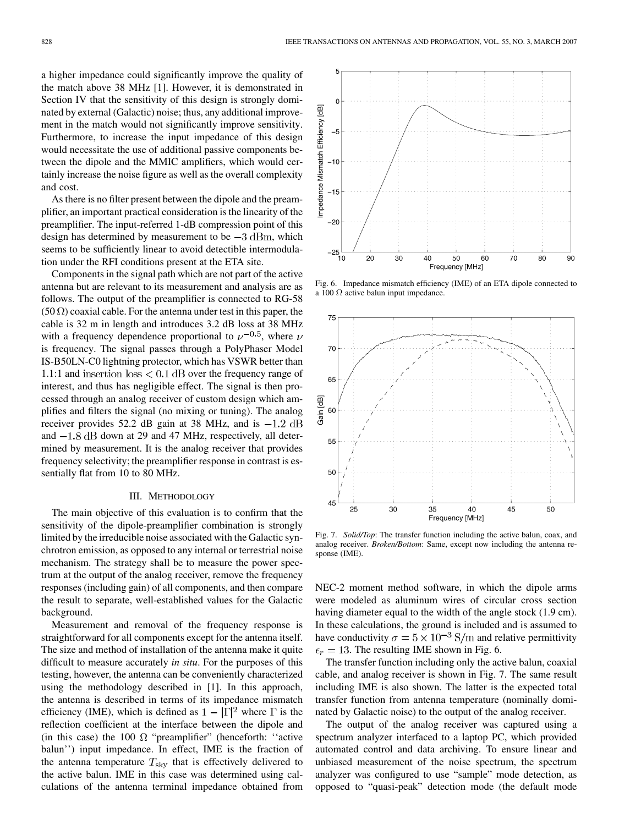<span id="page-2-0"></span>a higher impedance could significantly improve the quality of the match above 38 MHz [\[1\]](#page-5-0). However, it is demonstrated in [Section IV](#page-3-0) that the sensitivity of this design is strongly dominated by external (Galactic) noise; thus, any additional improvement in the match would not significantly improve sensitivity. Furthermore, to increase the input impedance of this design would necessitate the use of additional passive components between the dipole and the MMIC amplifiers, which would certainly increase the noise figure as well as the overall complexity and cost.

As there is no filter present between the dipole and the preamplifier, an important practical consideration is the linearity of the preamplifier. The input-referred 1-dB compression point of this design has determined by measurement to be  $-3$  dBm, which seems to be sufficiently linear to avoid detectible intermodulation under the RFI conditions present at the ETA site.

Components in the signal path which are not part of the active antenna but are relevant to its measurement and analysis are as follows. The output of the preamplifier is connected to RG-58  $(50 \Omega)$  coaxial cable. For the antenna under test in this paper, the cable is 32 m in length and introduces 3.2 dB loss at 38 MHz with a frequency dependence proportional to  $\nu^{-0.5}$ , where  $\nu$ is frequency. The signal passes through a PolyPhaser Model IS-B50LN-C0 lightning protector, which has VSWR better than 1.1:1 and insertion  $\text{loss} < 0.1 \text{ dB}$  over the frequency range of interest, and thus has negligible effect. The signal is then processed through an analog receiver of custom design which amplifies and filters the signal (no mixing or tuning). The analog receiver provides 52.2 dB gain at 38 MHz, and is  $-1.2$  dB and  $-1.8$  dB down at 29 and 47 MHz, respectively, all determined by measurement. It is the analog receiver that provides frequency selectivity; the preamplifier response in contrast is essentially flat from 10 to 80 MHz.

#### III. METHODOLOGY

The main objective of this evaluation is to confirm that the sensitivity of the dipole-preamplifier combination is strongly limited by the irreducible noise associated with the Galactic synchrotron emission, as opposed to any internal or terrestrial noise mechanism. The strategy shall be to measure the power spectrum at the output of the analog receiver, remove the frequency responses (including gain) of all components, and then compare the result to separate, well-established values for the Galactic background.

Measurement and removal of the frequency response is straightforward for all components except for the antenna itself. The size and method of installation of the antenna make it quite difficult to measure accurately *in situ*. For the purposes of this testing, however, the antenna can be conveniently characterized using the methodology described in [\[1\]](#page-5-0). In this approach, the antenna is described in terms of its impedance mismatch efficiency (IME), which is defined as  $1 - |\Gamma|^2$  where  $\Gamma$  is the reflection coefficient at the interface between the dipole and (in this case) the 100  $\Omega$  "preamplifier" (henceforth: "active balun'') input impedance. In effect, IME is the fraction of the antenna temperature  $T_{\rm sky}$  that is effectively delivered to the active balun. IME in this case was determined using calculations of the antenna terminal impedance obtained from



Fig. 6. Impedance mismatch efficiency (IME) of an ETA dipole connected to a  $100 \Omega$  active balun input impedance.



Fig. 7. *Solid/Top*: The transfer function including the active balun, coax, and analog receiver. *Broken/Bottom*: Same, except now including the antenna response (IME).

NEC-2 moment method software, in which the dipole arms were modeled as aluminum wires of circular cross section having diameter equal to the width of the angle stock (1.9 cm). In these calculations, the ground is included and is assumed to have conductivity  $\sigma = 5 \times 10^{-3}$  S/m and relative permittivity  $\epsilon_r = 13$ . The resulting IME shown in Fig. 6.

The transfer function including only the active balun, coaxial cable, and analog receiver is shown in Fig. 7. The same result including IME is also shown. The latter is the expected total transfer function from antenna temperature (nominally dominated by Galactic noise) to the output of the analog receiver.

The output of the analog receiver was captured using a spectrum analyzer interfaced to a laptop PC, which provided automated control and data archiving. To ensure linear and unbiased measurement of the noise spectrum, the spectrum analyzer was configured to use "sample" mode detection, as opposed to "quasi-peak" detection mode (the default mode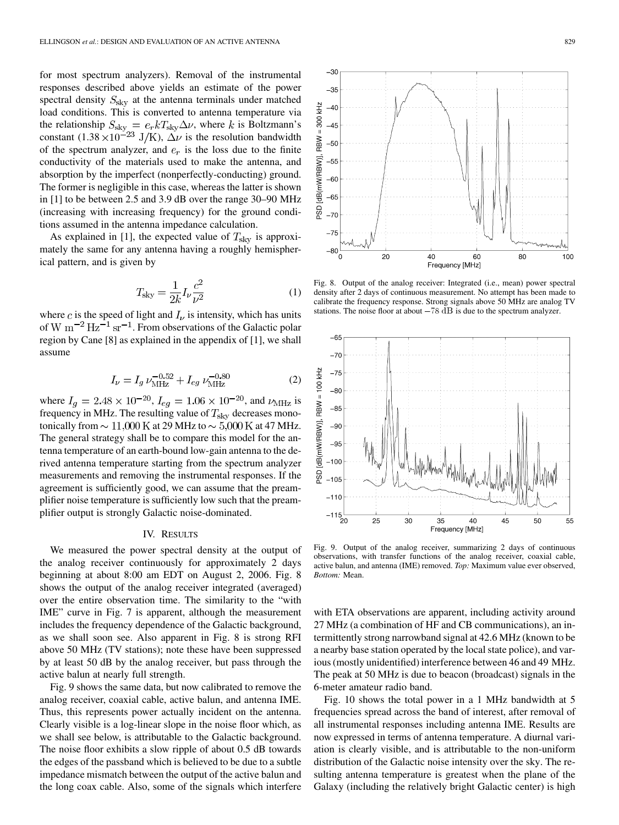<span id="page-3-0"></span>for most spectrum analyzers). Removal of the instrumental responses described above yields an estimate of the power spectral density  $S_{\text{sky}}$  at the antenna terminals under matched load conditions. This is converted to antenna temperature via the relationship  $S_{\rm sky} = e_r k T_{\rm sky} \Delta \nu$ , where k is Boltzmann's constant  $(1.38 \times 10^{-23} \text{ J/K})$ ,  $\Delta \nu$  is the resolution bandwidth of the spectrum analyzer, and  $e_r$  is the loss due to the finite conductivity of the materials used to make the antenna, and absorption by the imperfect (nonperfectly-conducting) ground. The former is negligible in this case, whereas the latter is shown in [\[1\]](#page-5-0) to be between 2.5 and 3.9 dB over the range 30–90 MHz (increasing with increasing frequency) for the ground conditions assumed in the antenna impedance calculation.

As explained in [\[1\]](#page-5-0), the expected value of  $T_{\rm sky}$  is approximately the same for any antenna having a roughly hemispherical pattern, and is given by

$$
T_{\rm sky} = \frac{1}{2k} I_{\nu} \frac{c^2}{\nu^2}
$$
 (1)

where c is the speed of light and  $I_{\nu}$  is intensity, which has units of W  $\rm m^{-2}$  Hz<sup>-1</sup> sr<sup>-1</sup>. From observations of the Galactic polar region by Cane [\[8\]](#page-5-0) as explained in the appendix of [\[1\],](#page-5-0) we shall assume

$$
I_{\nu} = I_g \nu_{\text{MHz}}^{-0.52} + I_{eg} \nu_{\text{MHz}}^{-0.80} \tag{2}
$$

where  $I_q = 2.48 \times 10^{-20}$ ,  $I_{eq} = 1.06 \times 10^{-20}$ , and  $\nu_{\text{MHz}}$  is frequency in MHz. The resulting value of  $T_{\rm sky}$  decreases monotonically from  $\sim 11,000$  K at 29 MHz to  $\sim 5,000$  K at 47 MHz. The general strategy shall be to compare this model for the antenna temperature of an earth-bound low-gain antenna to the derived antenna temperature starting from the spectrum analyzer measurements and removing the instrumental responses. If the agreement is sufficiently good, we can assume that the preamplifier noise temperature is sufficiently low such that the preamplifier output is strongly Galactic noise-dominated.

## IV. RESULTS

We measured the power spectral density at the output of the analog receiver continuously for approximately 2 days beginning at about 8:00 am EDT on August 2, 2006. Fig. 8 shows the output of the analog receiver integrated (averaged) over the entire observation time. The similarity to the "with IME" curve in [Fig. 7](#page-2-0) is apparent, although the measurement includes the frequency dependence of the Galactic background, as we shall soon see. Also apparent in Fig. 8 is strong RFI above 50 MHz (TV stations); note these have been suppressed by at least 50 dB by the analog receiver, but pass through the active balun at nearly full strength.

Fig. 9 shows the same data, but now calibrated to remove the analog receiver, coaxial cable, active balun, and antenna IME. Thus, this represents power actually incident on the antenna. Clearly visible is a log-linear slope in the noise floor which, as we shall see below, is attributable to the Galactic background. The noise floor exhibits a slow ripple of about 0.5 dB towards the edges of the passband which is believed to be due to a subtle impedance mismatch between the output of the active balun and the long coax cable. Also, some of the signals which interfere



 $-30$  $-35$ 

 $-40$  $-45$  $-50$ 

 $-55$  $-60$  $-65$  $-70$ 

RBW = 300 kHz

PSD [dB(mW/RBW)],

calibrate the frequency response. Strong signals above 50 MHz are analog TV Fig. 8. Output of the analog receiver: Integrated (i.e., mean) power specteristy after 2 days of continuous measurement. No attempt has been macalibrate the frequency response. Strong signals above 50 MHz are analog stati



Fig. 9. Output of the analog receiver, summarizing 2 days of continuous observations, with transfer functions of the analog receiver, coaxial cable, active balun, and antenna (IME) removed. *Top:* Maximum value ever observed, *Bottom:* Mean.

with ETA observations are apparent, including activity around 27 MHz (a combination of HF and CB communications), an intermittently strong narrowband signal at 42.6 MHz (known to be a nearby base station operated by the local state police), and various (mostly unidentified) interference between 46 and 49 MHz. The peak at 50 MHz is due to beacon (broadcast) signals in the 6-meter amateur radio band.

[Fig. 10](#page-4-0) shows the total power in a 1 MHz bandwidth at 5 frequencies spread across the band of interest, after removal of all instrumental responses including antenna IME. Results are now expressed in terms of antenna temperature. A diurnal variation is clearly visible, and is attributable to the non-uniform distribution of the Galactic noise intensity over the sky. The resulting antenna temperature is greatest when the plane of the Galaxy (including the relatively bright Galactic center) is high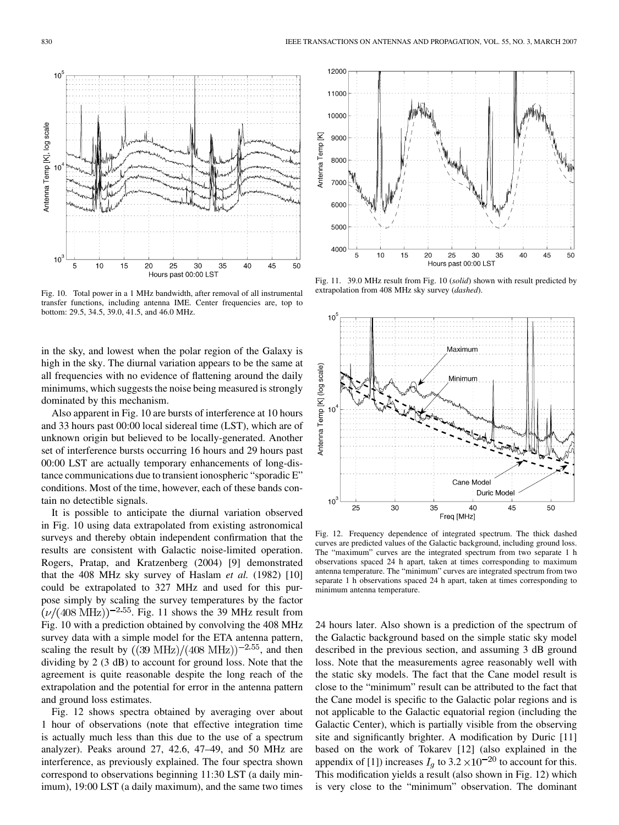<span id="page-4-0"></span>

Fig. 10. Total power in a 1 MHz bandwidth, after removal of all instrumental transfer functions, including antenna IME. Center frequencies are, top to bottom: 29.5, 34.5, 39.0, 41.5, and 46.0 MHz.

in the sky, and lowest when the polar region of the Galaxy is high in the sky. The diurnal variation appears to be the same at all frequencies with no evidence of flattening around the daily minimums, which suggests the noise being measured is strongly dominated by this mechanism.

Also apparent in Fig. 10 are bursts of interference at 10 hours and 33 hours past 00:00 local sidereal time (LST), which are of unknown origin but believed to be locally-generated. Another set of interference bursts occurring 16 hours and 29 hours past 00:00 LST are actually temporary enhancements of long-distance communications due to transient ionospheric "sporadic E" conditions. Most of the time, however, each of these bands contain no detectible signals.

It is possible to anticipate the diurnal variation observed in Fig. 10 using data extrapolated from existing astronomical surveys and thereby obtain independent confirmation that the results are consistent with Galactic noise-limited operation. Rogers, Pratap, and Kratzenberg (2004) [\[9\]](#page-5-0) demonstrated that the 408 MHz sky survey of Haslam *et al.* (1982) [\[10\]](#page-5-0) could be extrapolated to 327 MHz and used for this purpose simply by scaling the survey temperatures by the factor  $(\nu/(408 \text{ MHz}))^{-2.55}$ . Fig. 11 shows the 39 MHz result from Fig. 10 with a prediction obtained by convolving the 408 MHz survey data with a simple model for the ETA antenna pattern, scaling the result by  $((39 \text{ MHz})/(408 \text{ MHz}))^{-2.55}$ , and then dividing by 2 (3 dB) to account for ground loss. Note that the agreement is quite reasonable despite the long reach of the extrapolation and the potential for error in the antenna pattern and ground loss estimates.

Fig. 12 shows spectra obtained by averaging over about 1 hour of observations (note that effective integration time is actually much less than this due to the use of a spectrum analyzer). Peaks around 27, 42.6, 47–49, and 50 MHz are interference, as previously explained. The four spectra shown correspond to observations beginning 11:30 LST (a daily minimum), 19:00 LST (a daily maximum), and the same two times



Fig. 11. 39.0 MHz result from Fig. 10 (*solid*) shown with result predicted by extrapolation from 408 MHz sky survey (*dashed*).



Fig. 12. Frequency dependence of integrated spectrum. The thick dashed curves are predicted values of the Galactic background, including ground loss. The "maximum" curves are the integrated spectrum from two separate 1 h observations spaced 24 h apart, taken at times corresponding to maximum antenna temperature. The "minimum" curves are integrated spectrum from two separate 1 h observations spaced 24 h apart, taken at times corresponding to minimum antenna temperature.

24 hours later. Also shown is a prediction of the spectrum of the Galactic background based on the simple static sky model described in the previous section, and assuming 3 dB ground loss. Note that the measurements agree reasonably well with the static sky models. The fact that the Cane model result is close to the "minimum" result can be attributed to the fact that the Cane model is specific to the Galactic polar regions and is not applicable to the Galactic equatorial region (including the Galactic Center), which is partially visible from the observing site and significantly brighter. A modification by Duric [\[11\]](#page-5-0) based on the work of Tokarev [\[12\]](#page-5-0) (also explained in the appendix of [\[1\]\)](#page-5-0) increases  $I_q$  to 3.2  $\times$ 10<sup>-20</sup> to account for this. This modification yields a result (also shown in Fig. 12) which is very close to the "minimum" observation. The dominant